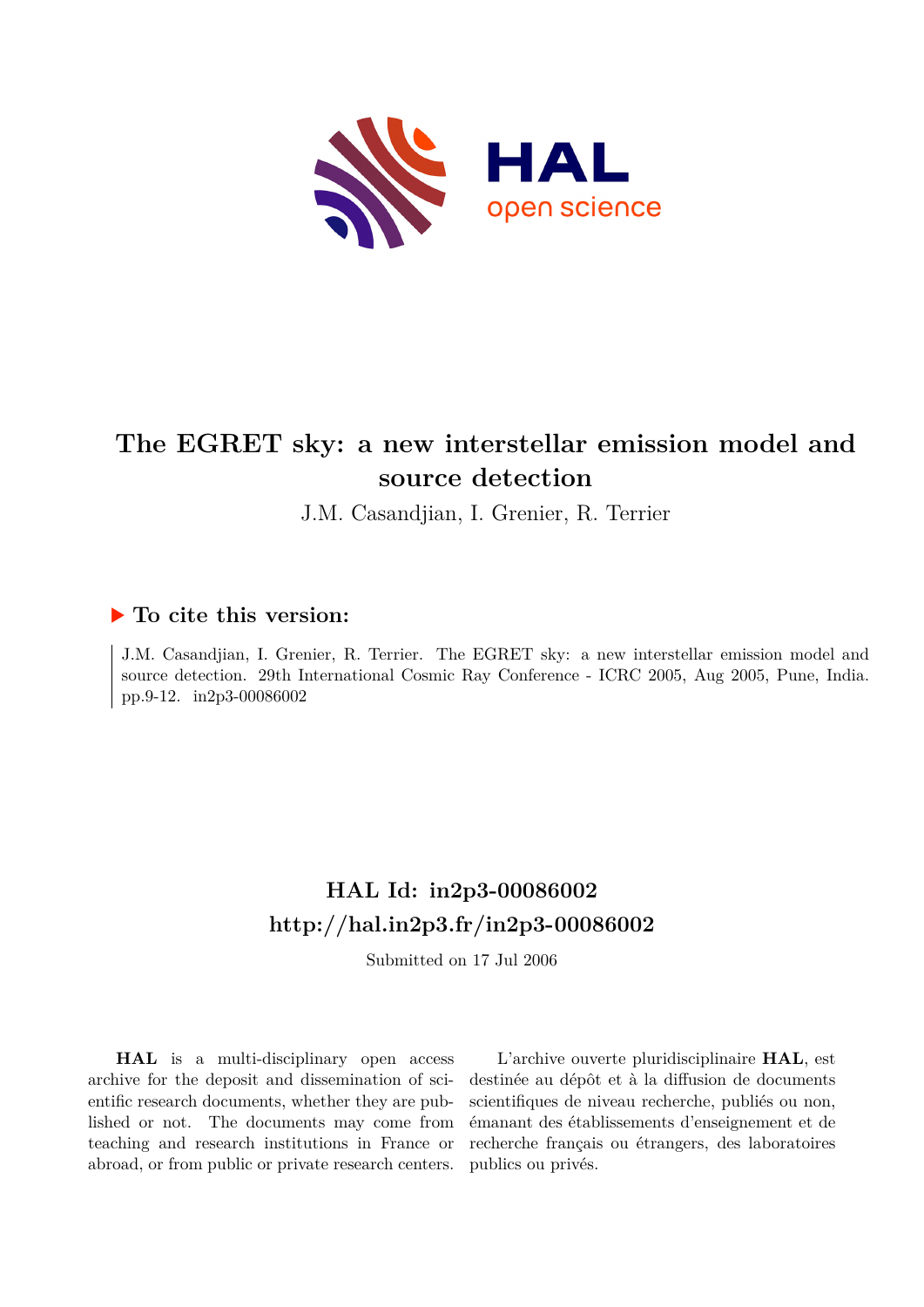

# **The EGRET sky: a new interstellar emission model and source detection**

J.M. Casandjian, I. Grenier, R. Terrier

## **To cite this version:**

J.M. Casandjian, I. Grenier, R. Terrier. The EGRET sky: a new interstellar emission model and source detection. 29th International Cosmic Ray Conference - ICRC 2005, Aug 2005, Pune, India. pp.9-12. in2p3-00086002

# **HAL Id: in2p3-00086002 <http://hal.in2p3.fr/in2p3-00086002>**

Submitted on 17 Jul 2006

**HAL** is a multi-disciplinary open access archive for the deposit and dissemination of scientific research documents, whether they are published or not. The documents may come from teaching and research institutions in France or abroad, or from public or private research centers.

L'archive ouverte pluridisciplinaire **HAL**, est destinée au dépôt et à la diffusion de documents scientifiques de niveau recherche, publiés ou non, émanant des établissements d'enseignement et de recherche français ou étrangers, des laboratoires publics ou privés.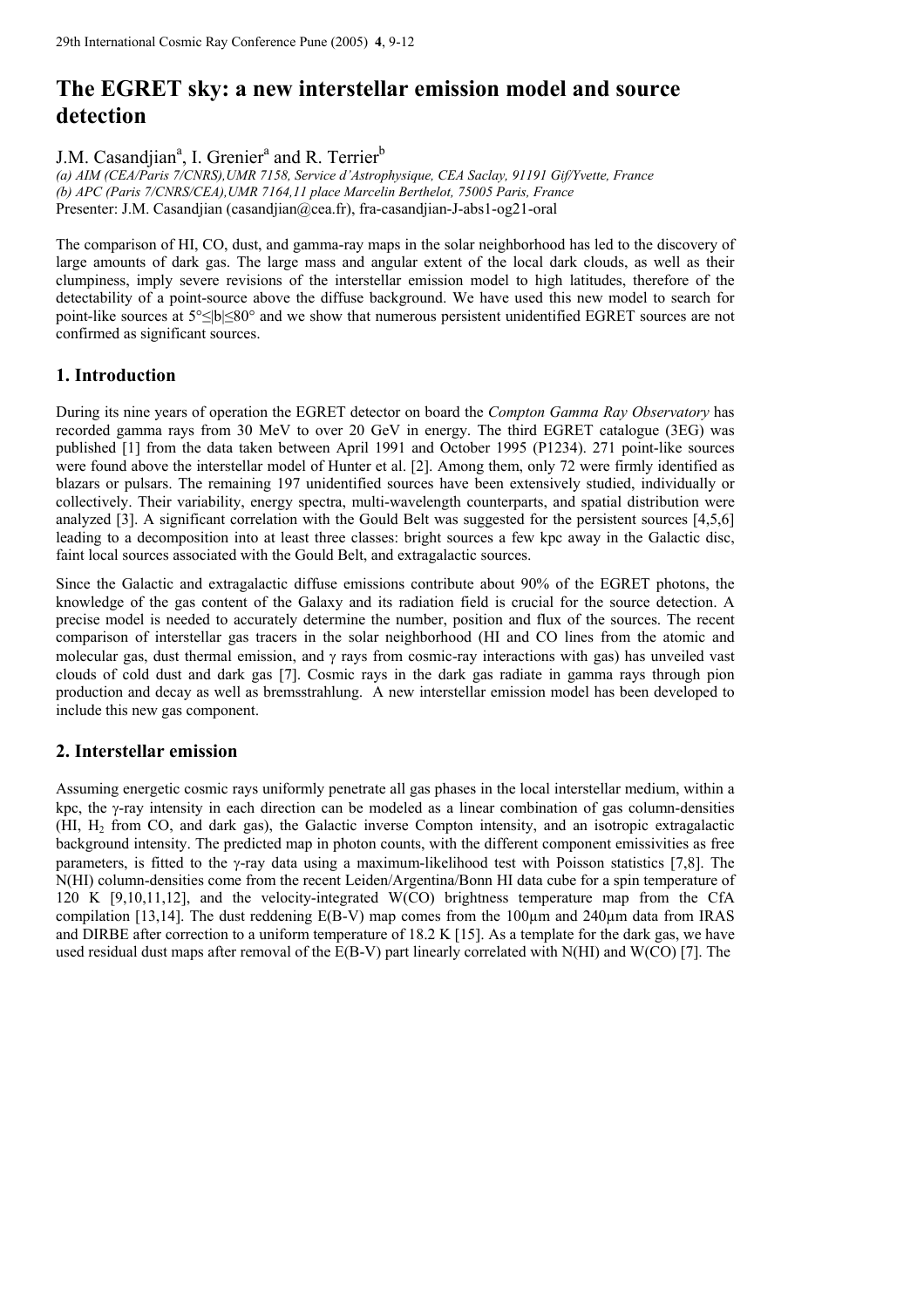## **The EGRET sky: a new interstellar emission model and source detection**

J.M. Casandjian<sup>a</sup>, I. Grenier<sup>a</sup> and R. Terrier<sup>b</sup>

*(a) AIM (CEA/Paris 7/CNRS),UMR 7158, Service d'Astrophysique, CEA Saclay, 91191 Gif/Yvette, France (b) APC (Paris 7/CNRS/CEA),UMR 7164,11 place Marcelin Berthelot, 75005 Paris, France*  Presenter: J.M. Casandjian (casandjian@cea.fr), fra-casandjian-J-abs1-og21-oral

The comparison of HI, CO, dust, and gamma-ray maps in the solar neighborhood has led to the discovery of large amounts of dark gas. The large mass and angular extent of the local dark clouds, as well as their clumpiness, imply severe revisions of the interstellar emission model to high latitudes, therefore of the detectability of a point-source above the diffuse background. We have used this new model to search for point-like sources at 5°≤|b|≤80° and we show that numerous persistent unidentified EGRET sources are not confirmed as significant sources.

## **1. Introduction**

During its nine years of operation the EGRET detector on board the *Compton Gamma Ray Observatory* has recorded gamma rays from 30 MeV to over 20 GeV in energy. The third EGRET catalogue (3EG) was published [1] from the data taken between April 1991 and October 1995 (P1234). 271 point-like sources were found above the interstellar model of Hunter et al. [2]. Among them, only 72 were firmly identified as blazars or pulsars. The remaining 197 unidentified sources have been extensively studied, individually or collectively. Their variability, energy spectra, multi-wavelength counterparts, and spatial distribution were analyzed [3]. A significant correlation with the Gould Belt was suggested for the persistent sources [4,5,6] leading to a decomposition into at least three classes: bright sources a few kpc away in the Galactic disc, faint local sources associated with the Gould Belt, and extragalactic sources.

Since the Galactic and extragalactic diffuse emissions contribute about 90% of the EGRET photons, the knowledge of the gas content of the Galaxy and its radiation field is crucial for the source detection. A precise model is needed to accurately determine the number, position and flux of the sources. The recent comparison of interstellar gas tracers in the solar neighborhood (HI and CO lines from the atomic and molecular gas, dust thermal emission, and  $\gamma$  rays from cosmic-ray interactions with gas) has unveiled vast clouds of cold dust and dark gas [7]. Cosmic rays in the dark gas radiate in gamma rays through pion production and decay as well as bremsstrahlung. A new interstellar emission model has been developed to include this new gas component.

## **2. Interstellar emission**

Assuming energetic cosmic rays uniformly penetrate all gas phases in the local interstellar medium, within a kpc, the γ-ray intensity in each direction can be modeled as a linear combination of gas column-densities (HI, H2 from CO, and dark gas), the Galactic inverse Compton intensity, and an isotropic extragalactic background intensity. The predicted map in photon counts, with the different component emissivities as free parameters, is fitted to the γ-ray data using a maximum-likelihood test with Poisson statistics [7,8]. The N(HI) column-densities come from the recent Leiden/Argentina/Bonn HI data cube for a spin temperature of 120 K [9,10,11,12], and the velocity-integrated W(CO) brightness temperature map from the CfA compilation [13,14]. The dust reddening  $E(B-V)$  map comes from the 100 $\mu$ m and 240 $\mu$ m data from IRAS and DIRBE after correction to a uniform temperature of 18.2 K [15]. As a template for the dark gas, we have used residual dust maps after removal of the E(B-V) part linearly correlated with N(HI) and W(CO) [7]. The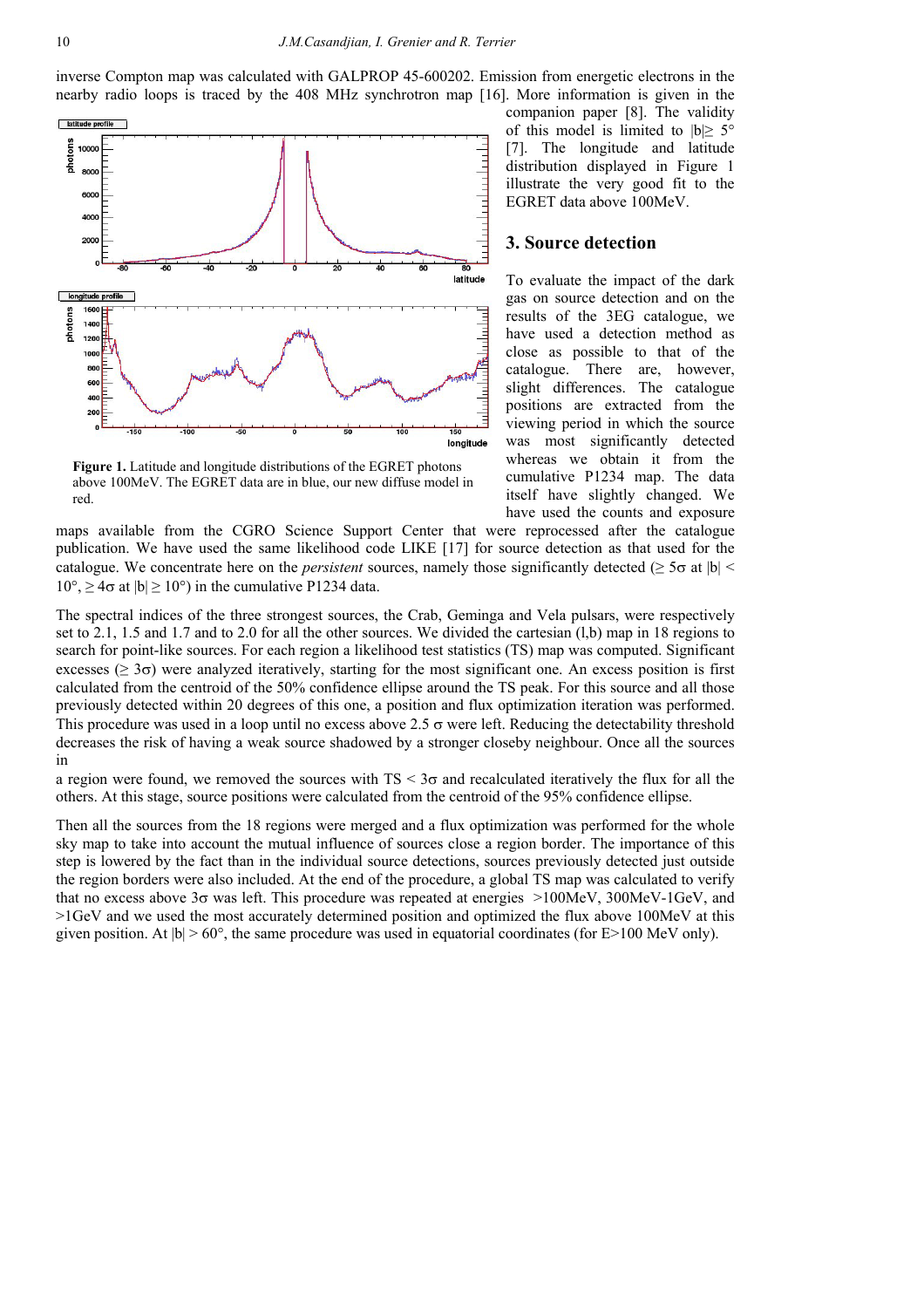inverse Compton map was calculated with GALPROP 45-600202. Emission from energetic electrons in the nearby radio loops is traced by the 408 MHz synchrotron map [16]. More information is given in the



**Figure 1.** Latitude and longitude distributions of the EGRET photons above 100MeV. The EGRET data are in blue, our new diffuse model in red.

companion paper [8]. The validity of this model is limited to  $|b| \geq 5^{\circ}$ [7]. The longitude and latitude distribution displayed in Figure 1 illustrate the very good fit to the EGRET data above 100MeV.

#### **3. Source detection**

To evaluate the impact of the dark gas on source detection and on the results of the 3EG catalogue, we have used a detection method as close as possible to that of the catalogue. There are, however, slight differences. The catalogue positions are extracted from the viewing period in which the source was most significantly detected whereas we obtain it from the cumulative P1234 map. The data itself have slightly changed. We have used the counts and exposure

maps available from the CGRO Science Support Center that were reprocessed after the catalogue publication. We have used the same likelihood code LIKE [17] for source detection as that used for the catalogue. We concentrate here on the *persistent* sources, namely those significantly detected ( $\geq$  5 $\sigma$  at  $|b|$   $\leq$  $10^{\circ}$ ,  $\geq 4\sigma$  at  $|b| \geq 10^{\circ}$ ) in the cumulative P1234 data.

The spectral indices of the three strongest sources, the Crab, Geminga and Vela pulsars, were respectively set to 2.1, 1.5 and 1.7 and to 2.0 for all the other sources. We divided the cartesian (l,b) map in 18 regions to search for point-like sources. For each region a likelihood test statistics (TS) map was computed. Significant excesses ( $\geq$  3 $\sigma$ ) were analyzed iteratively, starting for the most significant one. An excess position is first calculated from the centroid of the 50% confidence ellipse around the TS peak. For this source and all those previously detected within 20 degrees of this one, a position and flux optimization iteration was performed. This procedure was used in a loop until no excess above 2.5  $\sigma$  were left. Reducing the detectability threshold decreases the risk of having a weak source shadowed by a stronger closeby neighbour. Once all the sources in

a region were found, we removed the sources with  $TS < 3\sigma$  and recalculated iteratively the flux for all the others. At this stage, source positions were calculated from the centroid of the 95% confidence ellipse.

Then all the sources from the 18 regions were merged and a flux optimization was performed for the whole sky map to take into account the mutual influence of sources close a region border. The importance of this step is lowered by the fact than in the individual source detections, sources previously detected just outside the region borders were also included. At the end of the procedure, a global TS map was calculated to verify that no excess above  $3\sigma$  was left. This procedure was repeated at energies  $>100$ MeV, 300MeV-1GeV, and >1GeV and we used the most accurately determined position and optimized the flux above 100MeV at this given position. At  $|b| > 60^\circ$ , the same procedure was used in equatorial coordinates (for E>100 MeV only).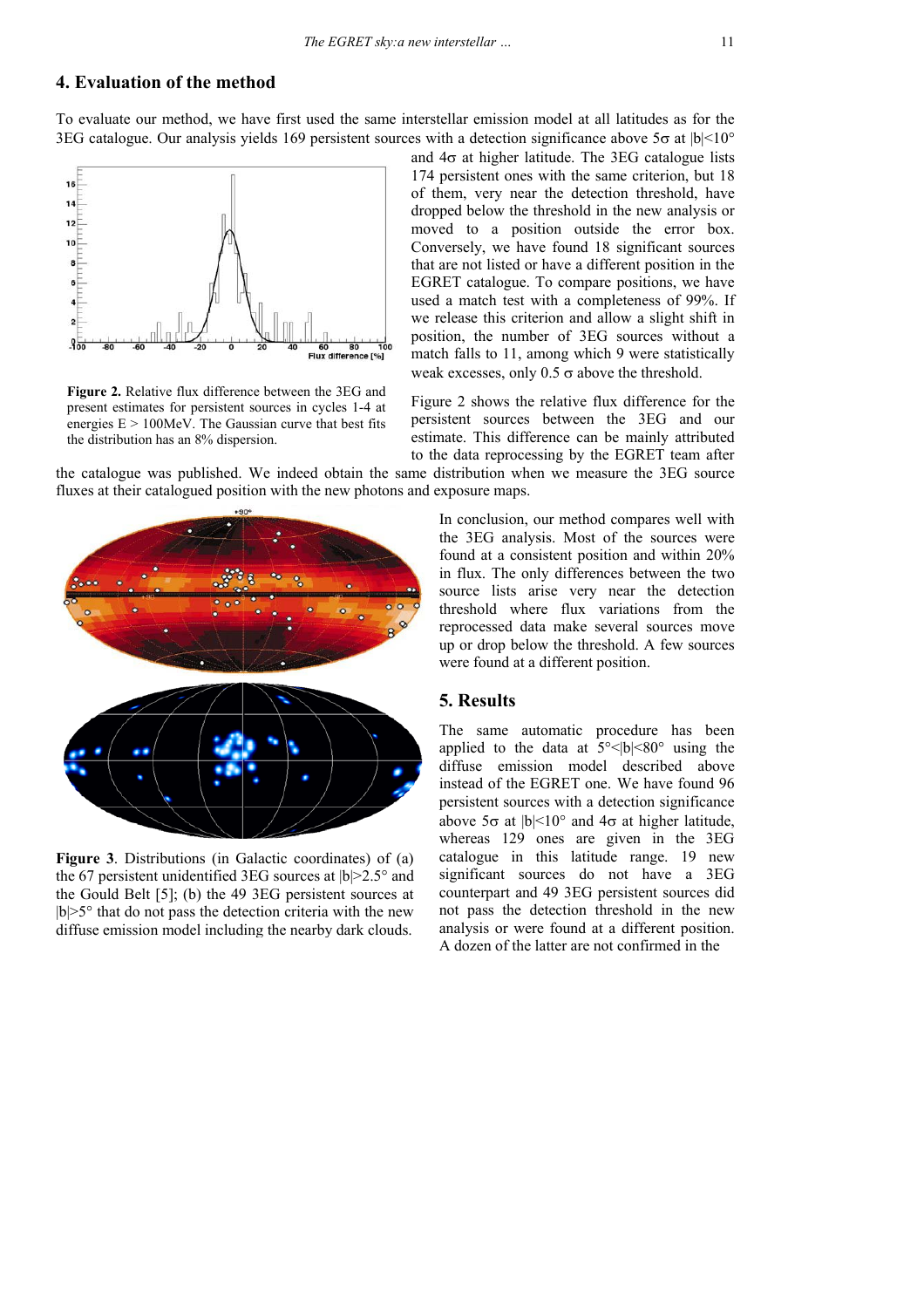## **4. Evaluation of the method**

To evaluate our method, we have first used the same interstellar emission model at all latitudes as for the 3EG catalogue. Our analysis yields 169 persistent sources with a detection significance above 5 $\sigma$  at  $|b| < 10^{\circ}$ 



**Figure 2.** Relative flux difference between the 3EG and present estimates for persistent sources in cycles 1-4 at energies  $E > 100MeV$ . The Gaussian curve that best fits the distribution has an 8% dispersion.

and  $4\sigma$  at higher latitude. The 3EG catalogue lists 174 persistent ones with the same criterion, but 18 of them, very near the detection threshold, have dropped below the threshold in the new analysis or moved to a position outside the error box. Conversely, we have found 18 significant sources that are not listed or have a different position in the EGRET catalogue. To compare positions, we have used a match test with a completeness of 99%. If we release this criterion and allow a slight shift in position, the number of 3EG sources without a match falls to 11, among which 9 were statistically weak excesses, only  $0.5 \sigma$  above the threshold.

Figure 2 shows the relative flux difference for the persistent sources between the 3EG and our estimate. This difference can be mainly attributed to the data reprocessing by the EGRET team after

the catalogue was published. We indeed obtain the same distribution when we measure the 3EG source fluxes at their catalogued position with the new photons and exposure maps.



**Figure 3**. Distributions (in Galactic coordinates) of (a) the 67 persistent unidentified 3EG sources at  $|b| > 2.5^\circ$  and the Gould Belt [5]; (b) the 49 3EG persistent sources at  $|b| > 5^\circ$  that do not pass the detection criteria with the new diffuse emission model including the nearby dark clouds.

In conclusion, our method compares well with the 3EG analysis. Most of the sources were found at a consistent position and within 20% in flux. The only differences between the two source lists arise very near the detection threshold where flux variations from the reprocessed data make several sources move up or drop below the threshold. A few sources were found at a different position.

#### **5. Results**

The same automatic procedure has been applied to the data at  $5^{\circ}$  \|b| \equal 80^{\pi using the diffuse emission model described above instead of the EGRET one. We have found 96 persistent sources with a detection significance above  $5\sigma$  at  $|b|$ <10° and  $4\sigma$  at higher latitude, whereas 129 ones are given in the 3EG catalogue in this latitude range. 19 new significant sources do not have a 3EG counterpart and 49 3EG persistent sources did not pass the detection threshold in the new analysis or were found at a different position. A dozen of the latter are not confirmed in the